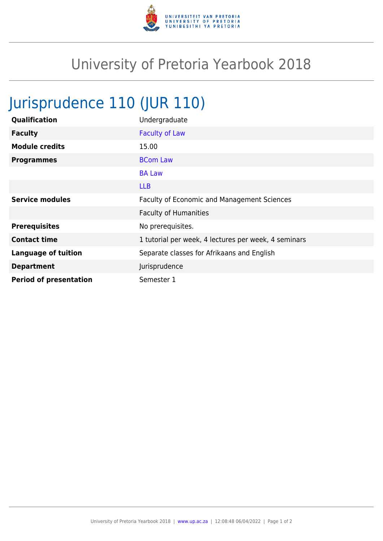

## University of Pretoria Yearbook 2018

## Jurisprudence 110 (JUR 110)

| Qualification                 | Undergraduate                                        |
|-------------------------------|------------------------------------------------------|
| <b>Faculty</b>                | <b>Faculty of Law</b>                                |
| <b>Module credits</b>         | 15.00                                                |
| <b>Programmes</b>             | <b>BCom Law</b>                                      |
|                               | <b>BA Law</b>                                        |
|                               | <b>LLB</b>                                           |
| <b>Service modules</b>        | Faculty of Economic and Management Sciences          |
|                               | <b>Faculty of Humanities</b>                         |
| <b>Prerequisites</b>          | No prerequisites.                                    |
| <b>Contact time</b>           | 1 tutorial per week, 4 lectures per week, 4 seminars |
| <b>Language of tuition</b>    | Separate classes for Afrikaans and English           |
| <b>Department</b>             | Jurisprudence                                        |
| <b>Period of presentation</b> | Semester 1                                           |